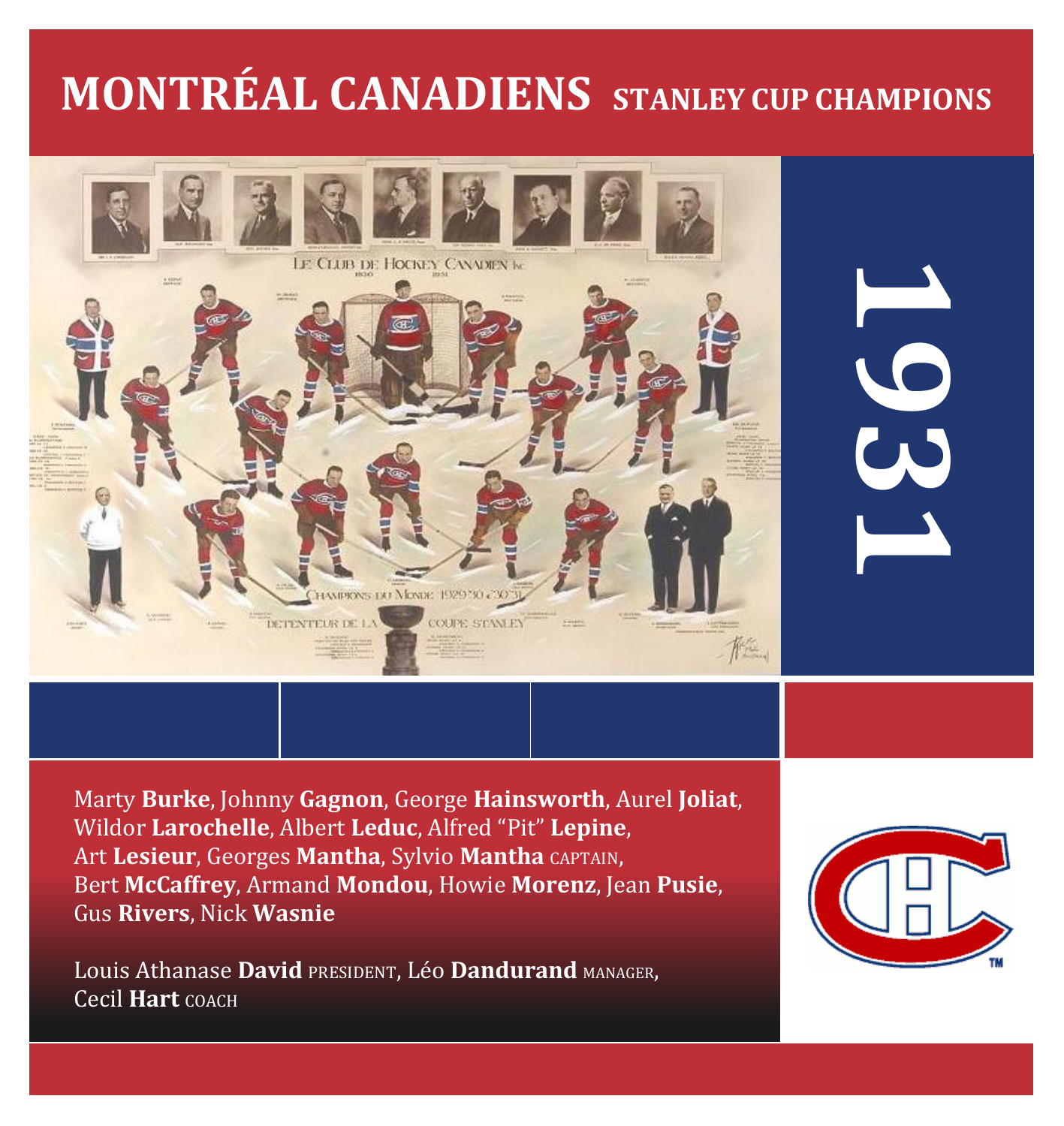# **MONTRÉAL CANADIENS STANLEY CUP CHAMPIONS**



**1931**

Marty **Burke**, Johnny **Gagnon**, George **Hainsworth**, Aurel **Joliat**, Wildor **Larochelle**, Albert **Leduc**, Alfred "Pit" **Lepine**, Art **Lesieur**, Georges **Mantha**, Sylvio **Mantha** CAPTAIN, Bert **McCaffrey**, Armand **Mondou**, Howie **Morenz**, Jean **Pusie**, Gus **Rivers**, Nick **Wasnie**

Louis Athanase **David** PRESIDENT, Léo **Dandurand** MANAGER, Cecil **Hart** COACH

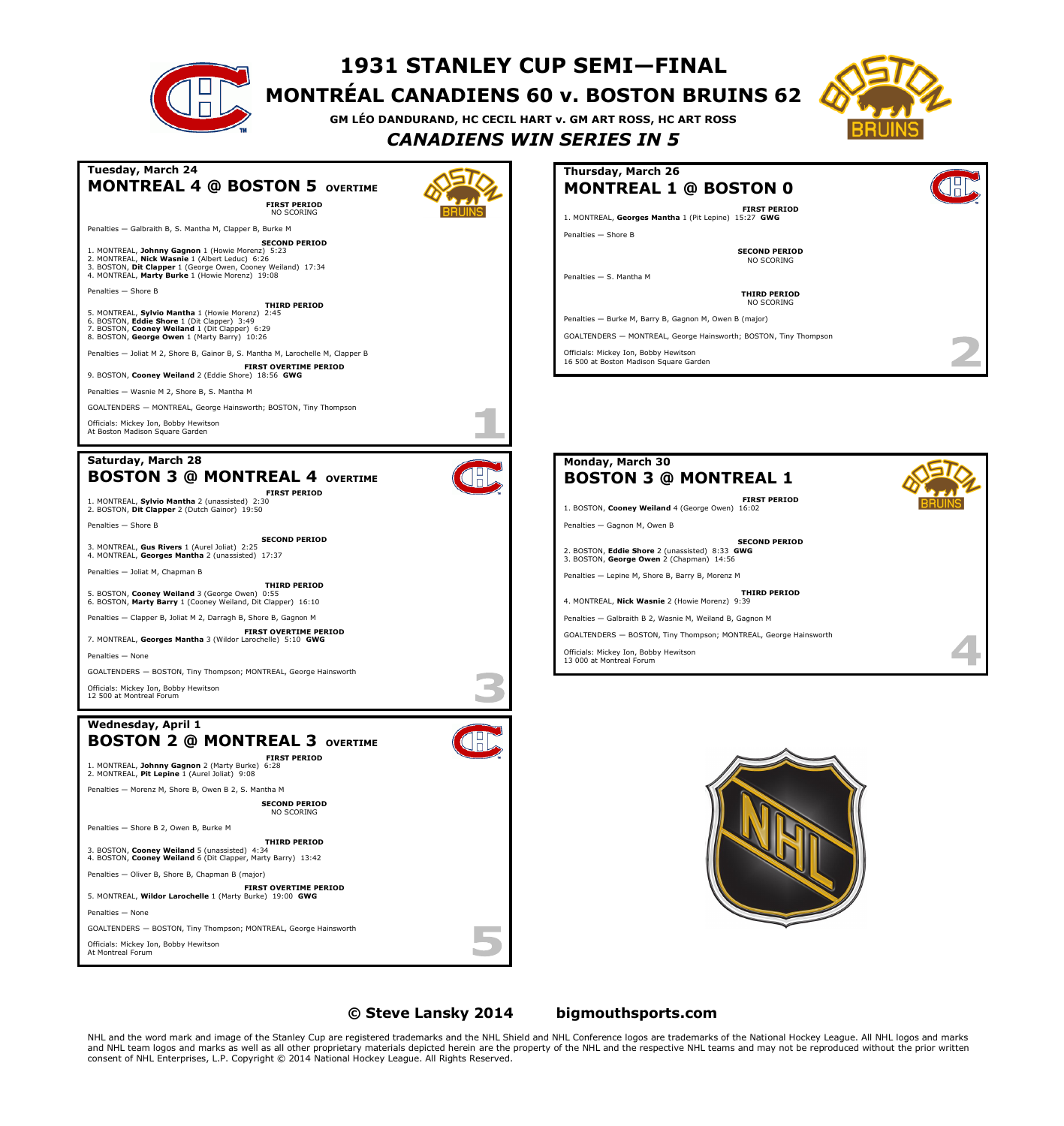|                                                                                                                                                                                                                                                                                                                                                                                                                                                                                                                                                                                                                                                                                                                                                                                                                                                                                                                                                                                                        | TAJI JIWILLI | $\overline{\text{C}}$<br><b>MONTREAL CANADIENS 60 v. BOSTON BRUINS 62</b><br>GM LÉO DANDURAND, HC CECIL HART v. GM ART ROSS, HC ART ROSS<br><b>CANADIENS WIN SERIES IN 5</b>                                                                                                                                                                                                                                                                                                                                                                                                                                |  |
|--------------------------------------------------------------------------------------------------------------------------------------------------------------------------------------------------------------------------------------------------------------------------------------------------------------------------------------------------------------------------------------------------------------------------------------------------------------------------------------------------------------------------------------------------------------------------------------------------------------------------------------------------------------------------------------------------------------------------------------------------------------------------------------------------------------------------------------------------------------------------------------------------------------------------------------------------------------------------------------------------------|--------------|-------------------------------------------------------------------------------------------------------------------------------------------------------------------------------------------------------------------------------------------------------------------------------------------------------------------------------------------------------------------------------------------------------------------------------------------------------------------------------------------------------------------------------------------------------------------------------------------------------------|--|
| Tuesday, March 24<br><b>MONTREAL 4 @ BOSTON 5 OVERTIME</b><br><b>FIRST PERIOD</b><br>NO SCORING<br>Penalties - Galbraith B, S. Mantha M, Clapper B, Burke M<br><b>SECOND PERIOD</b><br>1. MONTREAL, Johnny Gagnon 1 (Howie Morenz) 5:23<br>2. MONTREAL, Nick Wasnie 1 (Albert Leduc) 6:26<br>3. BOSTON, Dit Clapper 1 (George Owen, Cooney Weiland) 17:34<br>4. MONTREAL, Marty Burke 1 (Howie Morenz) 19:08<br>Penalties - Shore B<br><b>THIRD PERIOD</b><br>5. MONTREAL, Sylvio Mantha 1 (Howie Morenz) 2:45<br>6. BOSTON, Eddie Shore 1 (Dit Clapper) 3:49<br>7. BOSTON, Cooney Weiland 1 (Dit Clapper) 6:29<br>8. BOSTON, George Owen 1 (Marty Barry) 10:26<br>Penalties - Joliat M 2, Shore B, Gainor B, S. Mantha M, Larochelle M, Clapper B<br><b>FIRST OVERTIME PERIOD</b><br>9. BOSTON, Cooney Weiland 2 (Eddie Shore) 18:56 GWG<br>Penalties - Wasnie M 2, Shore B, S. Mantha M<br>GOALTENDERS - MONTREAL, George Hainsworth; BOSTON, Tiny Thompson<br>Officials: Mickey Ion, Bobby Hewitson |              | Thursday, March 26<br><b>MONTREAL 1 @ BOSTON 0</b><br><b>FIRST PERIOD</b><br>1. MONTREAL, Georges Mantha 1 (Pit Lepine) 15:27 GWG<br>Penalties - Shore B<br><b>SECOND PERIOD</b><br>NO SCORING<br>Penalties - S. Mantha M<br>THIRD PERIOD<br>NO SCORING<br>Penalties - Burke M, Barry B, Gagnon M, Owen B (major)<br>GOALTENDERS - MONTREAL, George Hainsworth; BOSTON, Tiny Thompson<br>Officials: Mickey Ion, Bobby Hewitson<br>16 500 at Boston Madison Square Garden                                                                                                                                    |  |
| At Boston Madison Square Garden<br>Saturday, March 28<br><b>BOSTON 3 @ MONTREAL 4 OVERTIME</b><br><b>FIRST PERIOD</b><br>1. MONTREAL, Sylvio Mantha 2 (unassisted) 2:30<br>2. BOSTON, Dit Clapper 2 (Dutch Gainor) 19:50<br>Penalties - Shore B<br><b>SECOND PERIOD</b><br>3. MONTREAL, Gus Rivers 1 (Aurel Joliat) 2:25<br>4. MONTREAL, Georges Mantha 2 (unassisted) 17:37<br>Penalties - Joliat M, Chapman B<br><b>THIRD PERIOD</b><br>5. BOSTON, Cooney Weiland 3 (George Owen) 0:55<br>6. BOSTON, Marty Barry 1 (Cooney Weiland, Dit Clapper) 16:10<br>Penalties - Clapper B, Joliat M 2, Darragh B, Shore B, Gagnon M<br><b>FIRST OVERTIME PERIOD</b><br>7. MONTREAL, Georges Mantha 3 (Wildor Larochelle) 5:10 GWG<br>Penalties - None<br>GOALTENDERS - BOSTON, Tiny Thompson; MONTREAL, George Hainsworth                                                                                                                                                                                      |              | Monday, March 30<br><b>BOSTON 3 @ MONTREAL 1</b><br><b>FIRST PERIOD</b><br>1. BOSTON, Cooney Weiland 4 (George Owen) 16:02<br>Penalties - Gagnon M, Owen B<br><b>SECOND PERIOD</b><br>2. BOSTON, Eddie Shore 2 (unassisted) 8:33 GWG<br>3. BOSTON, George Owen 2 (Chapman) 14:56<br>Penalties - Lepine M, Shore B, Barry B, Morenz M<br>THIRD PERIOD<br>4. MONTREAL, Nick Wasnie 2 (Howie Morenz) 9:39<br>Penalties - Galbraith B 2, Wasnie M, Weiland B, Gagnon M<br>GOALTENDERS - BOSTON, Tiny Thompson; MONTREAL, George Hainsworth<br>Officials: Mickey Ion, Bobby Hewitson<br>13 000 at Montreal Forum |  |
| Officials: Mickey Ion, Bobby Hewitson<br>12 500 at Montreal Forum<br>Wednesday, April 1<br><b>BOSTON 2 @ MONTREAL 3 OVERTIME</b><br><b>FIRST PERIOD</b><br>1. MONTREAL, Johnny Gagnon 2 (Marty Burke) 6:28<br>2. MONTREAL, Pit Lepine 1 (Aurel Joliat) 9:08<br>Penalties - Morenz M, Shore B, Owen B 2, S. Mantha M<br><b>SECOND PERIOD</b><br>NO SCORING<br>Penalties - Shore B 2, Owen B, Burke M<br><b>THIRD PERIOD</b><br>3. BOSTON, Cooney Weiland 5 (unassisted) 4:34<br>4. BOSTON, Cooney Weiland 6 (Dit Clapper, Marty Barry) 13:42<br>Penalties - Oliver B, Shore B, Chapman B (major)<br><b>FIRST OVERTIME PERIOD</b><br>5. MONTREAL, Wildor Larochelle 1 (Marty Burke) 19:00 GWG<br>Penalties - None<br>GOALTENDERS - BOSTON, Tiny Thompson; MONTREAL, George Hainsworth<br>Officials: Mickey Ion, Bobby Hewitson<br>At Montreal Forum                                                                                                                                                      |              |                                                                                                                                                                                                                                                                                                                                                                                                                                                                                                                                                                                                             |  |

**1931 STANLEY CUP SEMI—FINAL**

 $\sim$ 

**© Steve Lansky 2014 [bigmouthsports.com](http://bigmouthsports.com/stanley-cup-playoff-summaries/)**

NHL and the word mark and image of the Stanley Cup are registered trademarks and the NHL Shield and NHL Conference logos are trademarks of the National Hockey League. All NHL logos and marks<br>and NHL team logos and marks a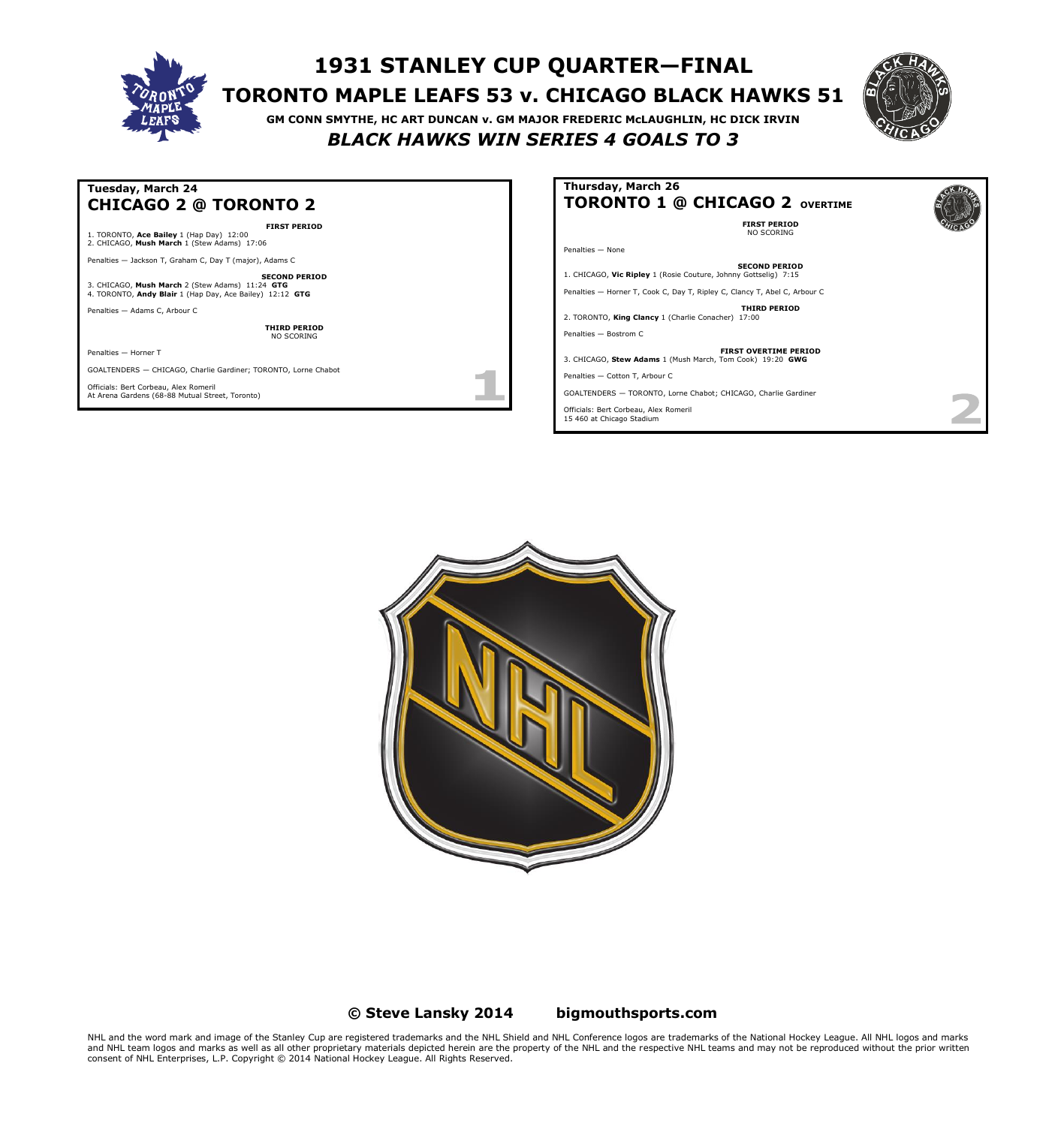

# **1931 STANLEY CUP QUARTER—FINAL TORONTO MAPLE LEAFS 53 v. CHICAGO BLACK HAWKS 51**

**GM CONN SMYTHE, HC ART DUNCAN v. GM MAJOR FREDERIC McLAUGHLIN, HC DICK IRVIN** *BLACK HAWKS WIN SERIES 4 GOALS TO 3*



#### **Tuesday, March 24 CHICAGO 2 @ TORONTO 2 FIRST PERIOD** 1. TORONTO, **Ace Bailey** 1 (Hap Day) 12:00 2. CHICAGO, **Mush March** 1 (Stew Adams) 17:06 Penalties — Jackson T, Graham C, Day T (major), Adams C **SECOND PERIOD** 3. CHICAGO, **Mush March** 2 (Stew Adams) 11:24 **GTG** 4. TORONTO, **Andy Blair** 1 (Hap Day, Ace Bailey) 12:12 **GTG** Penalties — Adams C, Arbour C **THIRD PERIOD** NO SCORING Penalties — Horner T GOALTENDERS — CHICAGO, Charlie Gardiner; TORONTO, Lorne Chabot m Officials: Bert Corbeau, Alex Romeril At Arena Gardens (68-88 Mutual Street, Toronto)

# **Thursday, March 26 TORONTO 1 @ CHICAGO 2 OVERTIME**

**FIRST PERIOD** NO SCORING

Penalties — None

**SECOND PERIOD** 1. CHICAGO, **Vic Ripley** 1 (Rosie Couture, Johnny Gottselig) 7:15

Penalties — Horner T, Cook C, Day T, Ripley C, Clancy T, Abel C, Arbour C

**THIRD PERIOD** 2. TORONTO, **King Clancy** 1 (Charlie Conacher) 17:00

Penalties — Bostrom C

**FIRST OVERTIME PERIOD** 3. CHICAGO, **Stew Adams** 1 (Mush March, Tom Cook) 19:20 **GWG**

Penalties — Cotton T, Arbour C

GOALTENDERS — TORONTO, Lorne Chabot; CHICAGO, Charlie Gardiner

Officials: Bert Corbeau, Alex Romeril 15 460 at Chicago Stadium



### **© Steve Lansky 2014 [bigmouthsports.com](http://bigmouthsports.com/stanley-cup-playoff-summaries/)**

NHL and the word mark and image of the Stanley Cup are registered trademarks and the NHL Shield and NHL Conference logos are trademarks of the National Hockey League. All NHL logos and marks<br>and NHL team logos and marks as consent of NHL Enterprises, L.P. Copyright © 2014 National Hockey League. All Rights Reserved.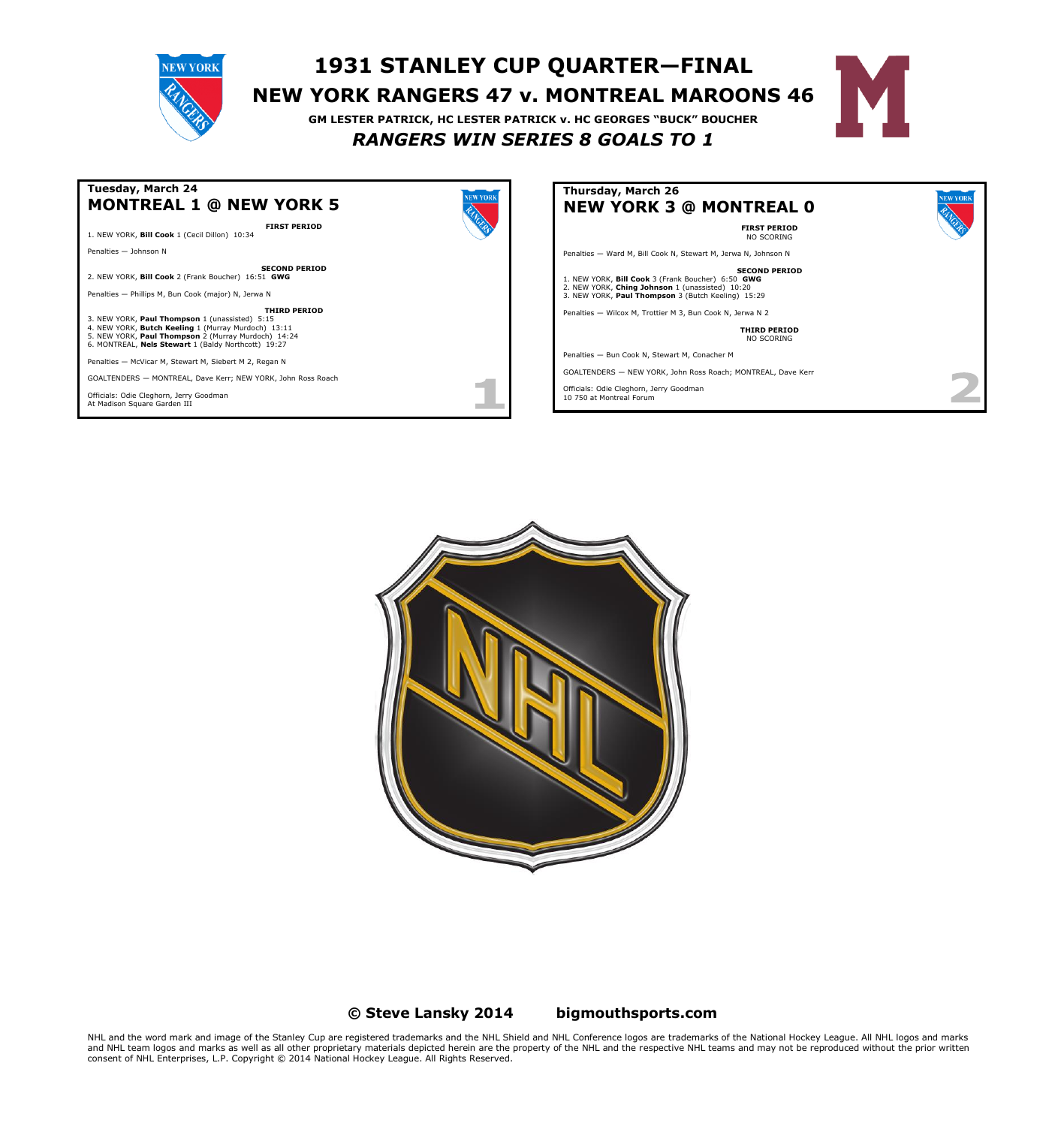# **1931 STANLEY CUP QUARTER—FINAL NEW YORK RANGERS 47 v. MONTREAL MAROONS 46 GM LESTER PATRICK, HC LESTER PATRICK v. HC GEORGES "BUCK" BOUCHER**

# *RANGERS WIN SERIES 8 GOALS TO 1*





**NEW YORK** 





#### **© Steve Lansky 2014 [bigmouthsports.com](http://bigmouthsports.com/stanley-cup-playoff-summaries/)**

NHL and the word mark and image of the Stanley Cup are registered trademarks and the NHL Shield and NHL Conference logos are trademarks of the National Hockey League. All NHL logos and marks<br>and NHL team logos and marks as consent of NHL Enterprises, L.P. Copyright © 2014 National Hockey League. All Rights Reserved.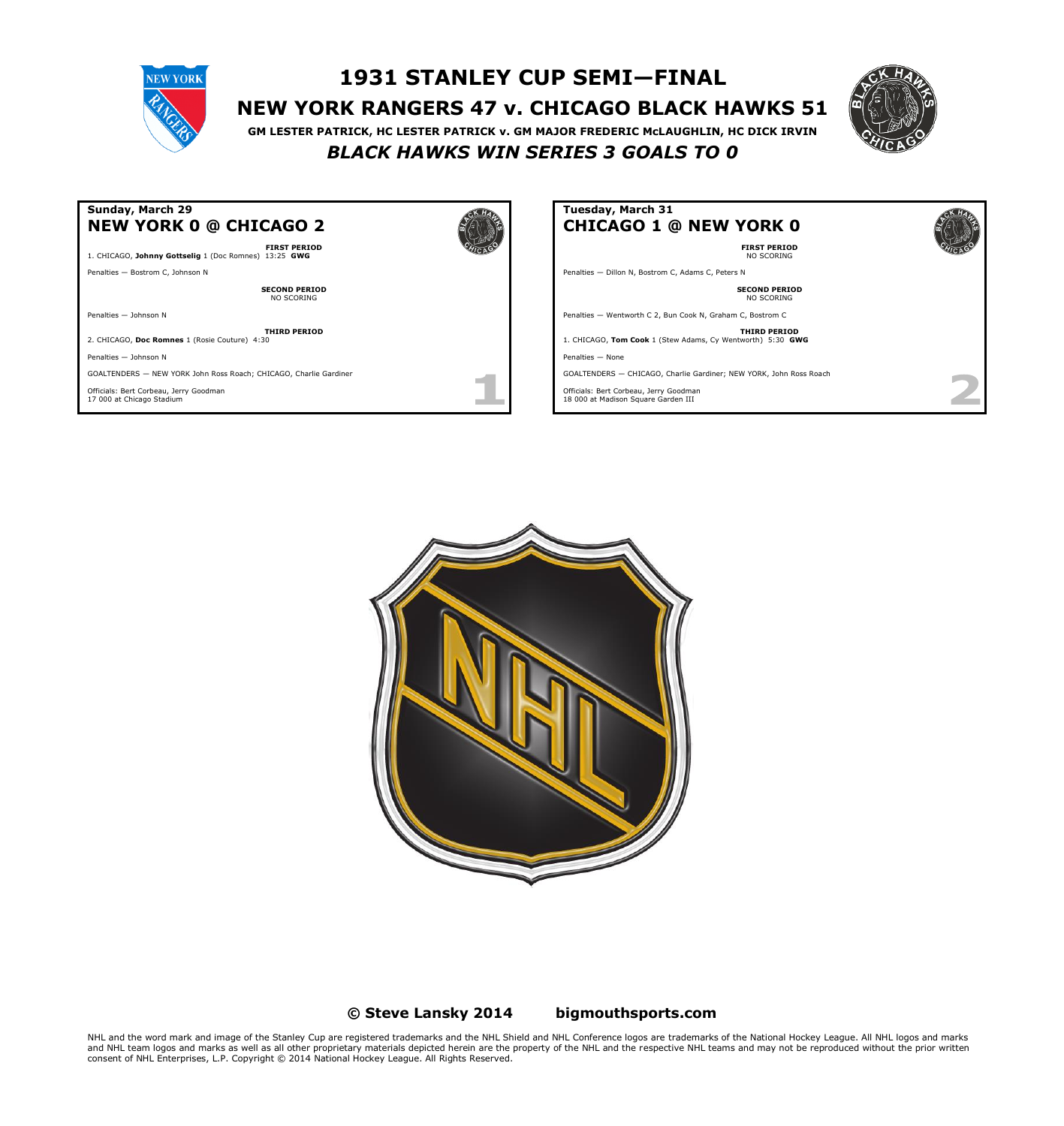

# **1931 STANLEY CUP SEMI—FINAL NEW YORK RANGERS 47 v. CHICAGO BLACK HAWKS 51**



**GM LESTER PATRICK, HC LESTER PATRICK v. GM MAJOR FREDERIC McLAUGHLIN, HC DICK IRVIN** *BLACK HAWKS WIN SERIES 3 GOALS TO 0*

#### **Sunday, March 29 NEW YORK 0 @ CHICAGO 2 FIRST PERIOD** 1. CHICAGO, **Johnny Gottselig** 1 (Doc Romnes) 13:25 **GWG** Penalties — Bostrom C, Johnson N **SECOND PERIOD** NO SCORING Penalties — Johnson N **THIRD PERIOD** 2. CHICAGO, **Doc Romnes** 1 (Rosie Couture) 4:30 Penalties — Johnson N GOALTENDERS — NEW YORK John Ross Roach; CHICAGO, Charlie Gardiner Officials: Bert Corbeau, Jerry Goodman 17 000 at Chicago Stadium

# **Tuesday, March 31 CHICAGO 1 @ NEW YORK 0**

**FIRST PERIOD** NO SCORING

Penalties — Dillon N, Bostrom C, Adams C, Peters N

#### **SECOND PERIOD** NO SCORING

Penalties — Wentworth C 2, Bun Cook N, Graham C, Bostrom C

**THIRD PERIOD** 1. CHICAGO, **Tom Cook** 1 (Stew Adams, Cy Wentworth) 5:30 **GWG**

Penalties — None

GOALTENDERS — CHICAGO, Charlie Gardiner; NEW YORK, John Ross Roach

Officials: Bert Corbeau, Jerry Goodman 18 000 at Madison Square Garden III



#### **© Steve Lansky 2014 [bigmouthsports.com](http://bigmouthsports.com/stanley-cup-playoff-summaries/)**

NHL and the word mark and image of the Stanley Cup are registered trademarks and the NHL Shield and NHL Conference logos are trademarks of the National Hockey League. All NHL logos and marks<br>and NHL team logos and marks as consent of NHL Enterprises, L.P. Copyright © 2014 National Hockey League. All Rights Reserved.